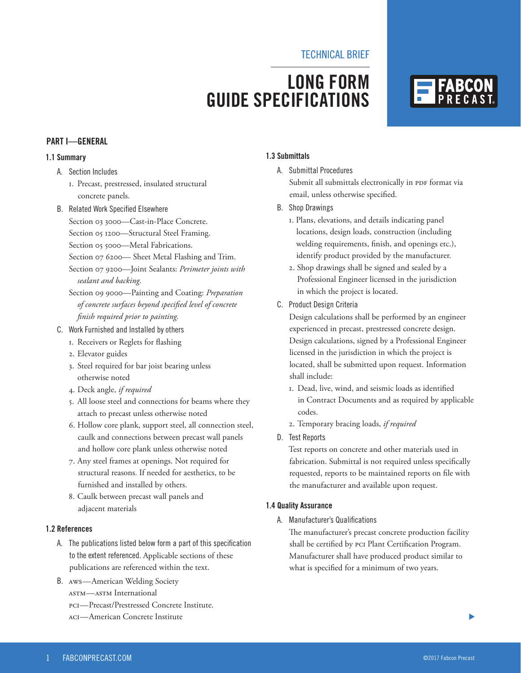### **LONG FORM GUIDE SPECIFICATIONS**



#### **PART I—GENERAL**

#### **1.1 Summary**

- A. Section Includes
	- 1. Precast, prestressed, insulated structural concrete panels.
- B. Related Work Specified Elsewhere
	- Section 03 3000—Cast-in-Place Concrete.
	- Section 05 1200—Structural Steel Framing.
	- Section 05 5000—Metal Fabrications.
	- Section 07 6200— Sheet Metal Flashing and Trim.
	- Section 07 9200—Joint Sealants: *Perimeter joints with sealant and backing.*
	- Section 09 9000—Painting and Coating: *Preparation of concrete surfaces beyond specified level of concrete finish required prior to painting.*
- C. Work Furnished and Installed by others
	- 1. Receivers or Reglets for flashing
	- 2. Elevator guides
	- 3. Steel required for bar joist bearing unless otherwise noted
	- 4. Deck angle, *if required*
	- 5. All loose steel and connections for beams where they attach to precast unless otherwise noted
	- 6. Hollow core plank, support steel, all connection steel, caulk and connections between precast wall panels and hollow core plank unless otherwise noted
	- 7. Any steel frames at openings. Not required for structural reasons. If needed for aesthetics, to be furnished and installed by others.
	- 8. Caulk between precast wall panels and adjacent materials

#### **1.2 References**

- A. The publications listed below form a part of this specification to the extent referenced. Applicable sections of these publications are referenced within the text.
- B. AWS—American Welding Society ASTM—ASTM International PCI—Precast/Prestressed Concrete Institute. ACI—American Concrete Institute

#### **1.3 Submittals**

A. Submittal Procedures

Submit all submittals electronically in PDF format via email, unless otherwise specified.

- B. Shop Drawings
	- 1. Plans, elevations, and details indicating panel locations, design loads, construction (including welding requirements, finish, and openings etc.), identify product provided by the manufacturer.
	- 2. Shop drawings shall be signed and sealed by a Professional Engineer licensed in the jurisdiction in which the project is located.
- C. Product Design Criteria

Design calculations shall be performed by an engineer experienced in precast, prestressed concrete design. Design calculations, signed by a Professional Engineer licensed in the jurisdiction in which the project is located, shall be submitted upon request. Information shall include:

- 1. Dead, live, wind, and seismic loads as identified in Contract Documents and as required by applicable codes.
- 2. Temporary bracing loads, *if required*
- D. Test Reports

Test reports on concrete and other materials used in fabrication. Submittal is not required unless specifically requested, reports to be maintained reports on file with the manufacturer and available upon request.

#### **1.4 Quality Assurance**

A. Manufacturer's Qualifications

 The manufacturer's precast concrete production facility shall be certified by PCI Plant Certification Program. Manufacturer shall have produced product similar to what is specified for a minimum of two years.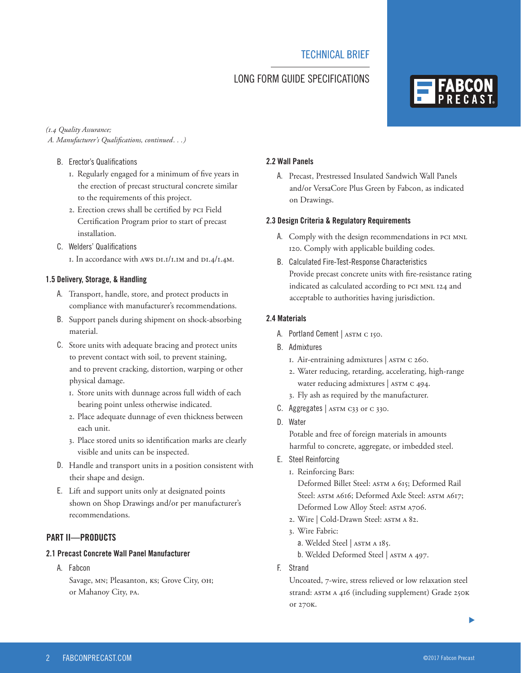#### LONG FORM GUIDE SPECIFICATIONS

#### *(1.4 Quality Assurance;*

 *A. Manufacturer's Qualifications, continued. . .)*

- B. Erector's Qualifications
	- 1. Regularly engaged for a minimum of five years in the erection of precast structural concrete similar to the requirements of this project.
	- 2. Erection crews shall be certified by PCI Field Certification Program prior to start of precast installation.
- C. Welders' Qualifications

1. In accordance with AWS D1.1/1.1M and D1.4/1.4M.

#### **1.5 Delivery, Storage, & Handling**

- A. Transport, handle, store, and protect products in compliance with manufacturer's recommendations.
- B. Support panels during shipment on shock-absorbing material.
- C. Store units with adequate bracing and protect units to prevent contact with soil, to prevent staining, and to prevent cracking, distortion, warping or other physical damage.
	- 1. Store units with dunnage across full width of each bearing point unless otherwise indicated.
	- 2. Place adequate dunnage of even thickness between each unit.
	- 3. Place stored units so identification marks are clearly visible and units can be inspected.
- D. Handle and transport units in a position consistent with their shape and design.
- E. Lift and support units only at designated points shown on Shop Drawings and/or per manufacturer's recommendations.

#### **PART II—PRODUCTS**

#### **2.1 Precast Concrete Wall Panel Manufacturer**

A. Fabcon

Savage, MN; Pleasanton, KS; Grove City, OH; or Mahanoy City, PA.

#### **2.2 Wall Panels**

A. Precast, Prestressed Insulated Sandwich Wall Panels and/or VersaCore Plus Green by Fabcon, as indicated on Drawings.

#### **2.3 Design Criteria & Regulatory Requirements**

- A. Comply with the design recommendations in PCI MNL 120. Comply with applicable building codes.
- B. Calculated Fire-Test-Response Characteristics Provide precast concrete units with fire-resistance rating indicated as calculated according to PCI MNL 124 and acceptable to authorities having jurisdiction.

#### **2.4 Materials**

- A. Portland Cement | ASTM C 150.
- B. Admixtures
	- 1. Air-entraining admixtures | ASTM C 260.
	- 2. Water reducing, retarding, accelerating, high-range water reducing admixtures | ASTM C 494.
	- 3. Fly ash as required by the manufacturer.
- C. Aggregates |  $ASTM C33$  or C 330.
- D. Water

Potable and free of foreign materials in amounts harmful to concrete, aggregate, or imbedded steel.

- E. Steel Reinforcing
	- 1. Reinforcing Bars:

Deformed Billet Steel: ASTM A 615; Deformed Rail Steel: ASTM A616; Deformed Axle Steel: ASTM A617; Deformed Low Alloy Steel: ASTM A706.

- 2. Wire | Cold-Drawn Steel: ASTM A 82.
- 3. Wire Fabric:
	- a. Welded Steel | ASTM A 185.

b. Welded Deformed Steel | ASTM A 497.

F. Strand

Uncoated, 7-wire, stress relieved or low relaxation steel strand: ASTM A 416 (including supplement) Grade 250K or 270K.

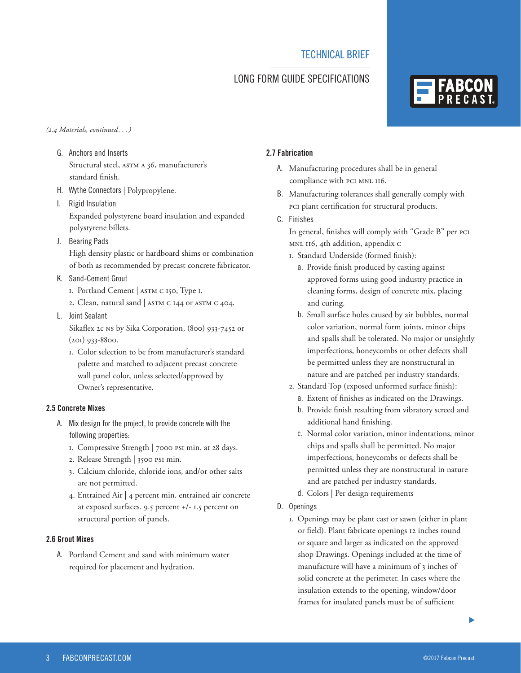### LONG FORM GUIDE SPECIFICATIONS

#### *(2.4 Materials, continued. . .)*

- G. Anchors and Inserts Structural steel, ASTM A 36, manufacturer's standard finish.
- H. Wythe Connectors | Polypropylene.
- I. Rigid Insulation Expanded polystyrene board insulation and expanded polystyrene billets.
- J. Bearing Pads

High density plastic or hardboard shims or combination of both as recommended by precast concrete fabricator.

- K. Sand-Cement Grout
	- 1. Portland Cement | ASTM C 150, Type I.
	- 2. Clean, natural sand | ASTM C 144 or ASTM C 404.
- L. Joint Sealant

Sikaflex 2c NS by Sika Corporation, (800) 933-7452 or (201) 933-8800.

 1. Color selection to be from manufacturer's standard palette and matched to adjacent precast concrete wall panel color, unless selected/approved by Owner's representative.

#### **2.5 Concrete Mixes**

- A. Mix design for the project, to provide concrete with the following properties:
	- 1. Compressive Strength | 7000 psi min. at 28 days.
	- 2. Release Strength | 3500 psi min.
	- 3. Calcium chloride, chloride ions, and/or other salts are not permitted.
	- 4. Entrained Air | 4 percent min. entrained air concrete at exposed surfaces. 9.5 percent +/- 1.5 percent on structural portion of panels.

#### **2.6 Grout Mixes**

A. Portland Cement and sand with minimum water required for placement and hydration.

#### **2.7 Fabrication**

- A. Manufacturing procedures shall be in general compliance with PCI MNL 116.
- B. Manufacturing tolerances shall generally comply with PCI plant certification for structural products.
- C. Finishes
	- In general, finishes will comply with "Grade B" per PCI MNL 116, 4th addition, appendix C
	- 1. Standard Underside (formed finish):
		- a. Provide finish produced by casting against approved forms using good industry practice in cleaning forms, design of concrete mix, placing and curing.
		- b. Small surface holes caused by air bubbles, normal color variation, normal form joints, minor chips and spalls shall be tolerated. No major or unsightly imperfections, honeycombs or other defects shall be permitted unless they are nonstructural in nature and are patched per industry standards.
	- 2. Standard Top (exposed unformed surface finish):
		- a. Extent of finishes as indicated on the Drawings.
		- b. Provide finish resulting from vibratory screed and additional hand finishing.
		- c. Normal color variation, minor indentations, minor chips and spalls shall be permitted. No major imperfections, honeycombs or defects shall be permitted unless they are nonstructural in nature and are patched per industry standards.
		- d. Colors | Per design requirements
- D. Openings
	- 1. Openings may be plant cast or sawn (either in plant or field). Plant fabricate openings 12 inches round or square and larger as indicated on the approved shop Drawings. Openings included at the time of manufacture will have a minimum of 3 inches of solid concrete at the perimeter. In cases where the insulation extends to the opening, window/door frames for insulated panels must be of sufficient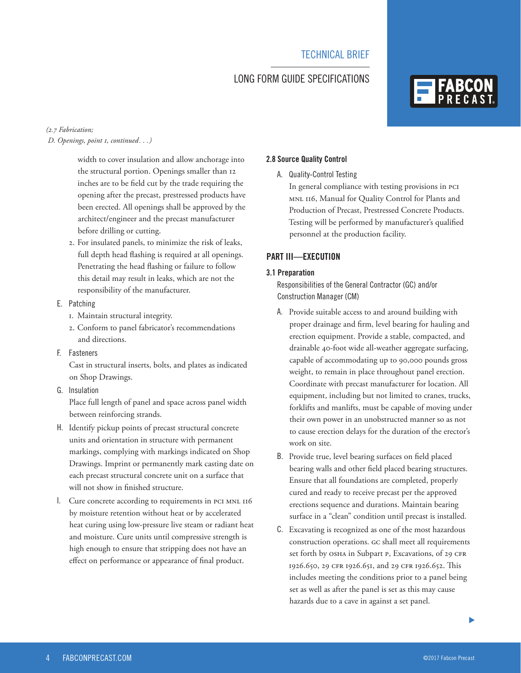#### LONG FORM GUIDE SPECIFICATIONS

## **FABCO**

#### *(2.7 Fabrication; D. Openings, point 1, continued. . .)*

width to cover insulation and allow anchorage into the structural portion. Openings smaller than 12 inches are to be field cut by the trade requiring the opening after the precast, prestressed products have been erected. All openings shall be approved by the architect/engineer and the precast manufacturer before drilling or cutting.

 2. For insulated panels, to minimize the risk of leaks, full depth head flashing is required at all openings. Penetrating the head flashing or failure to follow this detail may result in leaks, which are not the responsibility of the manufacturer.

#### E. Patching

- 1. Maintain structural integrity.
- 2. Conform to panel fabricator's recommendations and directions.
- F. Fasteners

Cast in structural inserts, bolts, and plates as indicated on Shop Drawings.

G. Insulation

Place full length of panel and space across panel width between reinforcing strands.

- H. Identify pickup points of precast structural concrete units and orientation in structure with permanent markings, complying with markings indicated on Shop Drawings. Imprint or permanently mark casting date on each precast structural concrete unit on a surface that will not show in finished structure.
- I. Cure concrete according to requirements in PCI MNL 116 by moisture retention without heat or by accelerated heat curing using low-pressure live steam or radiant heat and moisture. Cure units until compressive strength is high enough to ensure that stripping does not have an effect on performance or appearance of final product.

#### **2.8 Source Quality Control**

A. Quality-Control Testing

In general compliance with testing provisions in PCI MNL 116, Manual for Quality Control for Plants and Production of Precast, Prestressed Concrete Products. Testing will be performed by manufacturer's qualified personnel at the production facility.

#### **PART III—EXECUTION**

#### **3.1 Preparation**

 Responsibilities of the General Contractor (GC) and/or Construction Manager (CM)

- A. Provide suitable access to and around building with proper drainage and firm, level bearing for hauling and erection equipment. Provide a stable, compacted, and drainable 40-foot wide all-weather aggregate surfacing, capable of accommodating up to 90,000 pounds gross weight, to remain in place throughout panel erection. Coordinate with precast manufacturer for location. All equipment, including but not limited to cranes, trucks, forklifts and manlifts, must be capable of moving under their own power in an unobstructed manner so as not to cause erection delays for the duration of the erector's work on site.
- B. Provide true, level bearing surfaces on field placed bearing walls and other field placed bearing structures. Ensure that all foundations are completed, properly cured and ready to receive precast per the approved erections sequence and durations. Maintain bearing surface in a "clean" condition until precast is installed.
- C. Excavating is recognized as one of the most hazardous construction operations. GC shall meet all requirements set forth by OSHA in Subpart P, Excavations, of 29 CFR 1926.650, 29 CFR 1926.651, and 29 CFR 1926.652. This includes meeting the conditions prior to a panel being set as well as after the panel is set as this may cause hazards due to a cave in against a set panel.